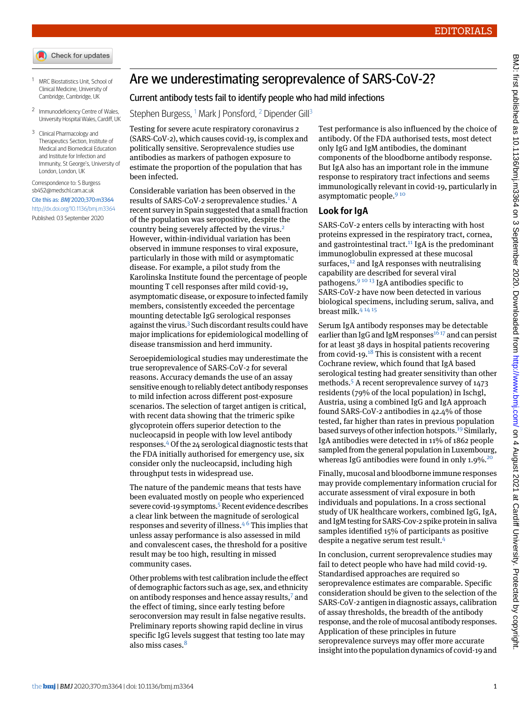- Check for updates
- <span id="page-0-1"></span><span id="page-0-0"></span><sup>1</sup> MRC Biostatistics Unit, School of Clinical Medicine, University of Cambridge, Cambridge, UK
- <span id="page-0-2"></span>2 Immunodeficiency Centre of Wales, University Hospital Wales, Cardiff, UK
- <sup>3</sup> Clinical Pharmacology and Therapeutics Section, Institute of Medical and Biomedical Education and Institute for Infection and Immunity, St George's, University of London, London, UK

Correspondence to: S Burgess [sb452@medschl.cam.ac.uk](mailto:sb452@medschl.cam.ac.uk) Cite this as: BMJ 2020;370:m3364 <http://dx.doi.org/10.1136/bmj.m3364> Published: 03 September 2020

## Are we underestimating seroprevalence of SARS-CoV-2?

## Current antibody tests fail to identify people who had mild infections

Stephen Burgess, <sup>[1](#page-0-0)</sup> Mark J Ponsford, <sup>[2](#page-0-1)</sup> Dipender Gill<sup>[3](#page-0-2)</sup>

Testing for severe acute respiratory coronavirus 2 (SARS-CoV-2), which causes covid-19, is complex and politically sensitive. Seroprevalence studies use antibodies as markers of pathogen exposure to estimate the proportion of the population that has been infected.

Considerable variation has been observed in the results of SARS-CoV-2 seroprevalence studies.<sup>[1](#page-1-0)</sup> A recent survey in Spain suggested that a small fraction of the population was seropositive, despite the country being severely affected by the virus.<sup>[2](#page-1-1)</sup> However, within-individual variation has been observed in immune responses to viral exposure, particularly in those with mild or asymptomatic disease. For example, a pilot study from the Karolinska Institute found the percentage of people mounting T cell responses after mild covid-19, asymptomatic disease, or exposure to infected family members, consistently exceeded the percentage mounting detectable IgG serological responses against the virus.[3](#page-1-2) Such discordant results could have major implications for epidemiological modelling of disease transmission and herd immunity.

Seroepidemiological studies may underestimate the true seroprevalence of SARS-CoV-2 for several reasons. Accuracy demands the use of an assay sensitive enough to reliably detect antibody responses to mild infection across different post-exposure scenarios. The selection of target antigen is critical, with recent data showing that the trimeric spike glycoprotein offers superior detection to the nucleocapsid in people with low level antibody responses.[4](#page-1-3)Of the 24 serological diagnostic tests that the FDA initially authorised for emergency use, six consider only the nucleocapsid, including high throughput tests in widespread use.

The nature of the pandemic means that tests have been evaluated mostly on people who experienced severe covid-19 symptoms.<sup>[5](#page-1-4)</sup> Recent evidence describes a clear link between the magnitude of serological responses and severity of illness. $4^6$  $4^6$  This implies that unless assay performance is also assessed in mild and convalescent cases, the threshold for a positive result may be too high, resulting in missed community cases.

Other problems with test calibration include the effect of demographic factors such as age, sex, and ethnicity on antibody responses and hence assay results,[7](#page-1-6) and the effect of timing, since early testing before seroconversion may result in false negative results. Preliminary reports showing rapid decline in virus specific IgG levels suggest that testing too late may also miss cases.<sup>[8](#page-1-7)</sup>

Test performance is also influenced by the choice of antibody. Of the FDA authorised tests, most detect only IgG and IgM antibodies, the dominant components of the bloodborne antibody response. But IgA also has an important role in the immune response to respiratory tract infections and seems immunologically relevant in covid-19, particularly in asymptomatic people.<sup>[9](#page-1-8)10</sup>

## **Look for IgA**

SARS-CoV-2 enters cells by interacting with host proteins expressed in the respiratory tract, cornea, and gastrointestinal tract.<sup>[11](#page-1-10)</sup> IgA is the predominant immunoglobulin expressed at these mucosal surfaces, $12$  and IgA responses with neutralising capability are described for several viral pathogens.[9](#page-1-8) [10](#page-1-9) [13](#page-1-12) IgA antibodies specific to SARS-CoV-2 have now been detected in various biological specimens, including serum, saliva, and breast milk.[4](#page-1-3) [14](#page-1-13) [15](#page-1-14)

Serum IgA antibody responses may be detectable earlier than IgG and IgM responses<sup>[16](#page-1-15)17</sup> and can persist for at least 38 days in hospital patients recovering from covid-19.<sup>[18](#page-1-17)</sup> This is consistent with a recent Cochrane review, which found that IgA based serological testing had greater sensitivity than other methods.[5](#page-1-4) A recent seroprevalence survey of 1473 residents (79% of the local population) in Ischgl, Austria, using a combined IgG and IgA approach found SARS-CoV-2 antibodies in 42.4% of those tested, far higher than rates in previous population based surveys of other infection hotspots.[19](#page-1-18) Similarly, IgA antibodies were detected in 11% of 1862 people sampled from the general population in Luxembourg, whereas IgG antibodies were found in only  $1.9\%$ <sup>[20](#page-1-19)</sup>

Finally, mucosal and bloodborne immune responses may provide complementary information crucial for accurate assessment of viral exposure in both individuals and populations. In a cross sectional study of UK healthcare workers, combined IgG, IgA, and IgM testing for SARS-Cov-2 spike protein in saliva samples identified 15% of participants as positive despite a negative serum test result.[4](#page-1-3)

In conclusion, current seroprevalence studies may fail to detect people who have had mild covid-19. Standardised approaches are required so seroprevalence estimates are comparable. Specific consideration should be given to the selection of the SARS-CoV-2 antigen in diagnostic assays, calibration of assay thresholds, the breadth of the antibody response, and the role of mucosal antibody responses. Application of these principles in future seroprevalence surveys may offer more accurate insight into the population dynamics of covid-19 and